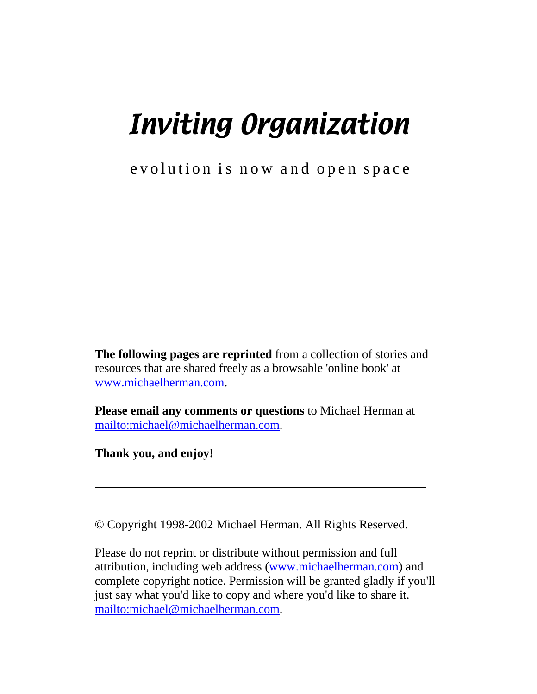# Inviting Organization  $\overline{\phantom{0}}$

### evolution is now and open space

**The following pages are reprinted** from a collection of stories and resources that are shared freely as a browsable 'online book' at www.michaelherman.com.

**Please email any comments or questions** to Michael Herman at mailto:michael@michaelherman.com.

**Thank you, and enjoy!**

ı

© Copyright 1998-2002 Michael Herman. All Rights Reserved.

Please do not reprint or distribute without permission and full attribution, including web address (www.michaelherman.com) and complete copyright notice. Permission will be granted gladly if you'll just say what you'd like to copy and where you'd like to share it. mailto:michael@michaelherman.com.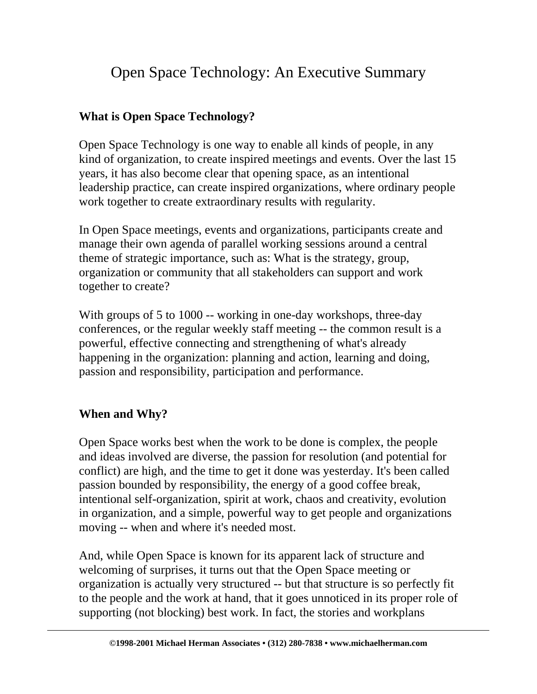## Open Space Technology: An Executive Summary

#### **What is Open Space Technology?**

Open Space Technology is one way to enable all kinds of people, in any kind of organization, to create inspired meetings and events. Over the last 15 years, it has also become clear that opening space, as an intentional leadership practice, can create inspired organizations, where ordinary people work together to create extraordinary results with regularity.

In Open Space meetings, events and organizations, participants create and manage their own agenda of parallel working sessions around a central theme of strategic importance, such as: What is the strategy, group, organization or community that all stakeholders can support and work together to create?

With groups of 5 to 1000 -- working in one-day workshops, three-day conferences, or the regular weekly staff meeting -- the common result is a powerful, effective connecting and strengthening of what's already happening in the organization: planning and action, learning and doing, passion and responsibility, participation and performance.

#### **When and Why?**

Open Space works best when the work to be done is complex, the people and ideas involved are diverse, the passion for resolution (and potential for conflict) are high, and the time to get it done was yesterday. It's been called passion bounded by responsibility, the energy of a good coffee break, intentional self-organization, spirit at work, chaos and creativity, evolution in organization, and a simple, powerful way to get people and organizations moving -- when and where it's needed most.

And, while Open Space is known for its apparent lack of structure and welcoming of surprises, it turns out that the Open Space meeting or organization is actually very structured -- but that structure is so perfectly fit to the people and the work at hand, that it goes unnoticed in its proper role of supporting (not blocking) best work. In fact, the stories and workplans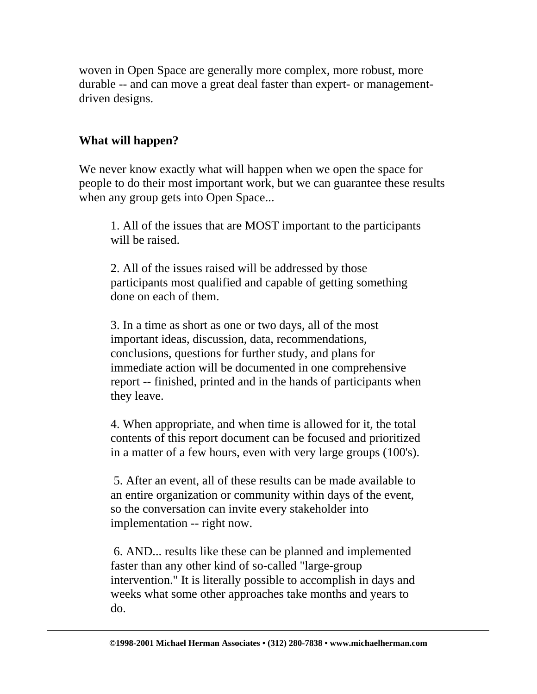woven in Open Space are generally more complex, more robust, more durable -- and can move a great deal faster than expert- or managementdriven designs.

#### **What will happen?**

We never know exactly what will happen when we open the space for people to do their most important work, but we can guarantee these results when any group gets into Open Space...

1. All of the issues that are MOST important to the participants will be raised.

2. All of the issues raised will be addressed by those participants most qualified and capable of getting something done on each of them.

3. In a time as short as one or two days, all of the most important ideas, discussion, data, recommendations, conclusions, questions for further study, and plans for immediate action will be documented in one comprehensive report -- finished, printed and in the hands of participants when they leave.

4. When appropriate, and when time is allowed for it, the total contents of this report document can be focused and prioritized in a matter of a few hours, even with very large groups (100's).

 5. After an event, all of these results can be made available to an entire organization or community within days of the event, so the conversation can invite every stakeholder into implementation -- right now.

 6. AND... results like these can be planned and implemented faster than any other kind of so-called "large-group intervention." It is literally possible to accomplish in days and weeks what some other approaches take months and years to do.